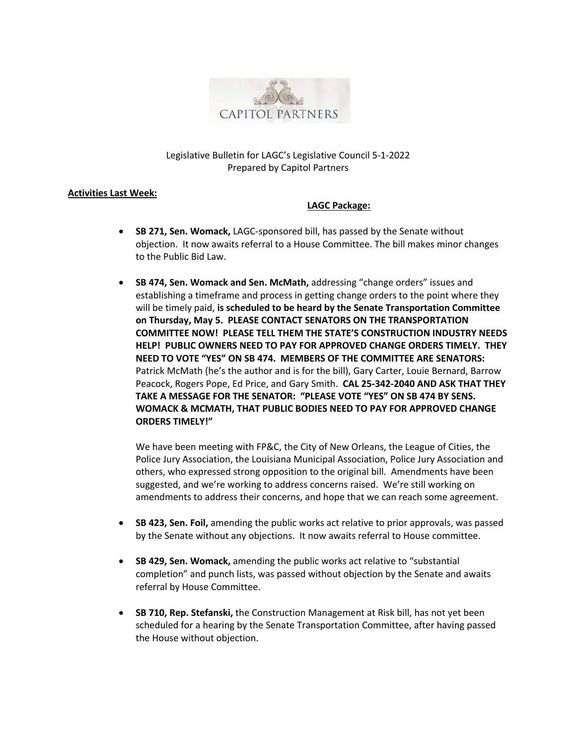

## Legislative Bulletin for LAGC's Legislative Council 5-1-2022 Prepared by Capitol Partners

## **Activities Last Week:**

## **LAGC Package:**

- **SB 271, Sen. Womack,** LAGC-sponsored bill, has passed by the Senate without objection. It now awaits referral to a House Committee. The bill makes minor changes to the Public Bid Law.
- **SB 474, Sen. Womack and Sen. McMath,** addressing "change orders" issues and establishing a timeframe and process in getting change orders to the point where they will be timely paid, **is scheduled to be heard by the Senate Transportation Committee on Thursday, May 5. PLEASE CONTACT SENATORS ON THE TRANSPORTATION COMMITTEE NOW! PLEASE TELL THEM THE STATE'S CONSTRUCTION INDUSTRY NEEDS HELP! PUBLIC OWNERS NEED TO PAY FOR APPROVED CHANGE ORDERS TIMELY. THEY NEED TO VOTE "YES" ON SB 474. MEMBERS OF THE COMMITTEE ARE SENATORS:**  Patrick McMath (he's the author and is for the bill), Gary Carter, Louie Bernard, Barrow Peacock, Rogers Pope, Ed Price, and Gary Smith. **CAL 25-342-2040 AND ASK THAT THEY TAKE A MESSAGE FOR THE SENATOR: "PLEASE VOTE "YES" ON SB 474 BY SENS. WOMACK & MCMATH, THAT PUBLIC BODIES NEED TO PAY FOR APPROVED CHANGE ORDERS TIMELY!"**

We have been meeting with FP&C, the City of New Orleans, the League of Cities, the Police Jury Association, the Louisiana Municipal Association, Police Jury Association and others, who expressed strong opposition to the original bill. Amendments have been suggested, and we're working to address concerns raised. We're still working on amendments to address their concerns, and hope that we can reach some agreement.

- **SB 423, Sen. Foil,** amending the public works act relative to prior approvals, was passed by the Senate without any objections. It now awaits referral to House committee.
- **SB 429, Sen. Womack,** amending the public works act relative to "substantial completion" and punch lists, was passed without objection by the Senate and awaits referral by House Committee.
- **SB 710, Rep. Stefanski,** the Construction Management at Risk bill, has not yet been scheduled for a hearing by the Senate Transportation Committee, after having passed the House without objection.